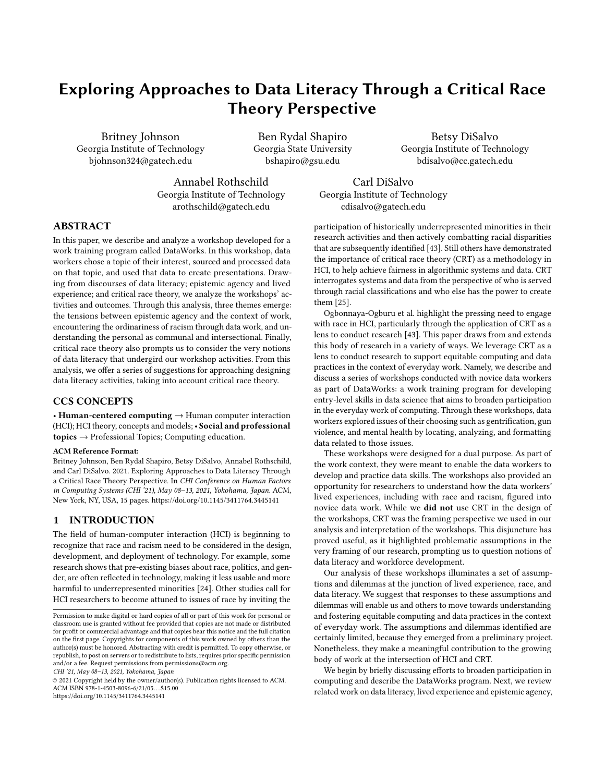# Exploring Approaches to Data Literacy Through a Critical Race Theory Perspective

Britney Johnson Georgia Institute of Technology bjohnson324@gatech.edu bshapiro@gsu.edu bdisalvo@cc.gatech.edu

Ben Rydal Shapiro Georgia State University

Betsy DiSalvo Georgia Institute of Technology

Annabel Rothschild Georgia Institute of Technology [arothschild@gatech.edu](mailto:arothschild@gatech.edu)

Carl DiSalvo Georgia Institute of Technology [cdisalvo@gatech.edu](mailto:cdisalvo@gatech.edu)

## ABSTRACT

In this paper, we describe and analyze a workshop developed for a work training program called DataWorks. In this workshop, data workers chose a topic of their interest, sourced and processed data on that topic, and used that data to create presentations. Drawing from discourses of data literacy; epistemic agency and lived experience; and critical race theory, we analyze the workshops' activities and outcomes. Through this analysis, three themes emerge: the tensions between epistemic agency and the context of work, encountering the ordinariness of racism through data work, and understanding the personal as communal and intersectional. Finally, critical race theory also prompts us to consider the very notions of data literacy that undergird our workshop activities. From this analysis, we ofer a series of suggestions for approaching designing data literacy activities, taking into account critical race theory.

## CCS CONCEPTS

• Human-centered computing → Human computer interaction (HCI); HCI theory, concepts and models;• Social and professional topics → Professional Topics; Computing education.

#### ACM Reference Format:

Britney Johnson, Ben Rydal Shapiro, Betsy DiSalvo, Annabel Rothschild, and Carl DiSalvo. 2021. Exploring Approaches to Data Literacy Through a Critical Race Theory Perspective. In CHI Conference on Human Factors in Computing Systems (CHI '21), May 08–13, 2021, Yokohama, Japan. ACM, New York, NY, USA, [15](#page-14-0) pages. <https://doi.org/10.1145/3411764.3445141>

## 1 INTRODUCTION

The feld of human-computer interaction (HCI) is beginning to recognize that race and racism need to be considered in the design, development, and deployment of technology. For example, some research shows that pre-existing biases about race, politics, and gender, are often reflected in technology, making it less usable and more harmful to underrepresented minorities [\[24\]](#page-13-0). Other studies call for HCI researchers to become attuned to issues of race by inviting the

CHI '21, May 08–13, 2021, Yokohama, Japan

© 2021 Copyright held by the owner/author(s). Publication rights licensed to ACM. ACM ISBN 978-1-4503-8096-6/21/05. . . \$15.00 <https://doi.org/10.1145/3411764.3445141>

participation of historically underrepresented minorities in their research activities and then actively combatting racial disparities that are subsequently identifed [\[43\]](#page-13-1). Still others have demonstrated the importance of critical race theory (CRT) as a methodology in HCI, to help achieve fairness in algorithmic systems and data. CRT interrogates systems and data from the perspective of who is served through racial classifcations and who else has the power to create them [\[25\]](#page-13-2).

Ogbonnaya-Ogburu et al. highlight the pressing need to engage with race in HCI, particularly through the application of CRT as a lens to conduct research [\[43\]](#page-13-1). This paper draws from and extends this body of research in a variety of ways. We leverage CRT as a lens to conduct research to support equitable computing and data practices in the context of everyday work. Namely, we describe and discuss a series of workshops conducted with novice data workers as part of DataWorks: a work training program for developing entry-level skills in data science that aims to broaden participation in the everyday work of computing. Through these workshops, data workers explored issues of their choosing such as gentrifcation, gun violence, and mental health by locating, analyzing, and formatting data related to those issues.

These workshops were designed for a dual purpose. As part of the work context, they were meant to enable the data workers to develop and practice data skills. The workshops also provided an opportunity for researchers to understand how the data workers' lived experiences, including with race and racism, fgured into novice data work. While we did not use CRT in the design of the workshops, CRT was the framing perspective we used in our analysis and interpretation of the workshops. This disjuncture has proved useful, as it highlighted problematic assumptions in the very framing of our research, prompting us to question notions of data literacy and workforce development.

Our analysis of these workshops illuminates a set of assumptions and dilemmas at the junction of lived experience, race, and data literacy. We suggest that responses to these assumptions and dilemmas will enable us and others to move towards understanding and fostering equitable computing and data practices in the context of everyday work. The assumptions and dilemmas identifed are certainly limited, because they emerged from a preliminary project. Nonetheless, they make a meaningful contribution to the growing body of work at the intersection of HCI and CRT.

We begin by briefly discussing efforts to broaden participation in computing and describe the DataWorks program. Next, we review related work on data literacy, lived experience and epistemic agency,

Permission to make digital or hard copies of all or part of this work for personal or classroom use is granted without fee provided that copies are not made or distributed for proft or commercial advantage and that copies bear this notice and the full citation on the frst page. Copyrights for components of this work owned by others than the author(s) must be honored. Abstracting with credit is permitted. To copy otherwise, or republish, to post on servers or to redistribute to lists, requires prior specifc permission and/or a fee. Request permissions from [permissions@acm.org](mailto:permissions@acm.org).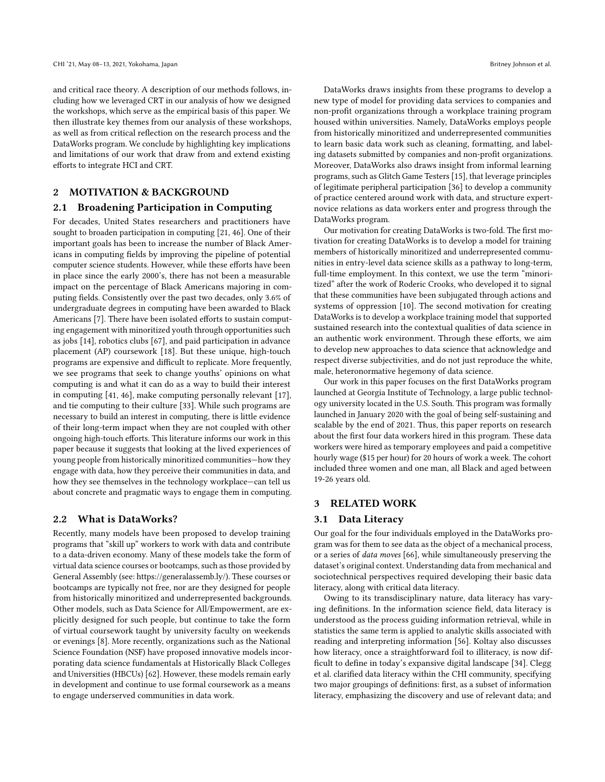and critical race theory. A description of our methods follows, including how we leveraged CRT in our analysis of how we designed the workshops, which serve as the empirical basis of this paper. We then illustrate key themes from our analysis of these workshops, as well as from critical refection on the research process and the DataWorks program. We conclude by highlighting key implications and limitations of our work that draw from and extend existing eforts to integrate HCI and CRT.

## 2 MOTIVATION & BACKGROUND

#### 2.1 Broadening Participation in Computing

For decades, United States researchers and practitioners have sought to broaden participation in computing [\[21,](#page-13-3) [46\]](#page-13-4). One of their important goals has been to increase the number of Black Americans in computing felds by improving the pipeline of potential computer science students. However, while these efforts have been in place since the early 2000's, there has not been a measurable impact on the percentage of Black Americans majoring in computing felds. Consistently over the past two decades, only 3.6% of undergraduate degrees in computing have been awarded to Black Americans [\[7\]](#page-13-5). There have been isolated efforts to sustain computing engagement with minoritized youth through opportunities such as jobs [\[14\]](#page-13-6), robotics clubs [\[67\]](#page-14-1), and paid participation in advance placement (AP) coursework [\[18\]](#page-13-7). But these unique, high-touch programs are expensive and difficult to replicate. More frequently, we see programs that seek to change youths' opinions on what computing is and what it can do as a way to build their interest in computing [\[41,](#page-13-8) [46\]](#page-13-4), make computing personally relevant [\[17\]](#page-13-9), and tie computing to their culture [\[33\]](#page-13-10). While such programs are necessary to build an interest in computing, there is little evidence of their long-term impact when they are not coupled with other ongoing high-touch efforts. This literature informs our work in this paper because it suggests that looking at the lived experiences of young people from historically minoritized communities—how they engage with data, how they perceive their communities in data, and how they see themselves in the technology workplace—can tell us about concrete and pragmatic ways to engage them in computing.

#### 2.2 What is DataWorks?

Recently, many models have been proposed to develop training programs that "skill up" workers to work with data and contribute to a data-driven economy. Many of these models take the form of virtual data science courses or bootcamps, such as those provided by General Assembly (see: [https://generalassemb.ly/\).](https://generalassemb.ly/)) These courses or bootcamps are typically not free, nor are they designed for people from historically minoritized and underrepresented backgrounds. Other models, such as Data Science for All/Empowerment, are explicitly designed for such people, but continue to take the form of virtual coursework taught by university faculty on weekends or evenings [\[8\]](#page-13-11). More recently, organizations such as the National Science Foundation (NSF) have proposed innovative models incorporating data science fundamentals at Historically Black Colleges and Universities (HBCUs) [\[62\]](#page-14-2). However, these models remain early in development and continue to use formal coursework as a means to engage underserved communities in data work.

DataWorks draws insights from these programs to develop a new type of model for providing data services to companies and non-proft organizations through a workplace training program housed within universities. Namely, DataWorks employs people from historically minoritized and underrepresented communities to learn basic data work such as cleaning, formatting, and labeling datasets submitted by companies and non-proft organizations. Moreover, DataWorks also draws insight from informal learning programs, such as Glitch Game Testers [\[15\]](#page-13-12), that leverage principles of legitimate peripheral participation [\[36\]](#page-13-13) to develop a community of practice centered around work with data, and structure expertnovice relations as data workers enter and progress through the DataWorks program.

Our motivation for creating DataWorks is two-fold. The frst motivation for creating DataWorks is to develop a model for training members of historically minoritized and underrepresented communities in entry-level data science skills as a pathway to long-term, full-time employment. In this context, we use the term "minoritized" after the work of Roderic Crooks, who developed it to signal that these communities have been subjugated through actions and systems of oppression [\[10\]](#page-13-14). The second motivation for creating DataWorks is to develop a workplace training model that supported sustained research into the contextual qualities of data science in an authentic work environment. Through these efforts, we aim to develop new approaches to data science that acknowledge and respect diverse subjectivities, and do not just reproduce the white, male, heteronormative hegemony of data science.

Our work in this paper focuses on the frst DataWorks program launched at Georgia Institute of Technology, a large public technology university located in the U.S. South. This program was formally launched in January 2020 with the goal of being self-sustaining and scalable by the end of 2021. Thus, this paper reports on research about the frst four data workers hired in this program. These data workers were hired as temporary employees and paid a competitive hourly wage (\$15 per hour) for 20 hours of work a week. The cohort included three women and one man, all Black and aged between 19-26 years old.

## 3 RELATED WORK

#### 3.1 Data Literacy

Our goal for the four individuals employed in the DataWorks program was for them to see data as the object of a mechanical process, or a series of data moves [\[66\]](#page-14-3), while simultaneously preserving the dataset's original context. Understanding data from mechanical and sociotechnical perspectives required developing their basic data literacy, along with critical data literacy.

Owing to its transdisciplinary nature, data literacy has varying defnitions. In the information science feld, data literacy is understood as the process guiding information retrieval, while in statistics the same term is applied to analytic skills associated with reading and interpreting information [\[56\]](#page-14-4). Koltay also discusses how literacy, once a straightforward foil to illiteracy, is now dif-ficult to define in today's expansive digital landscape [\[34\]](#page-13-15). Clegg et al. clarifed data literacy within the CHI community, specifying two major groupings of defnitions: frst, as a subset of information literacy, emphasizing the discovery and use of relevant data; and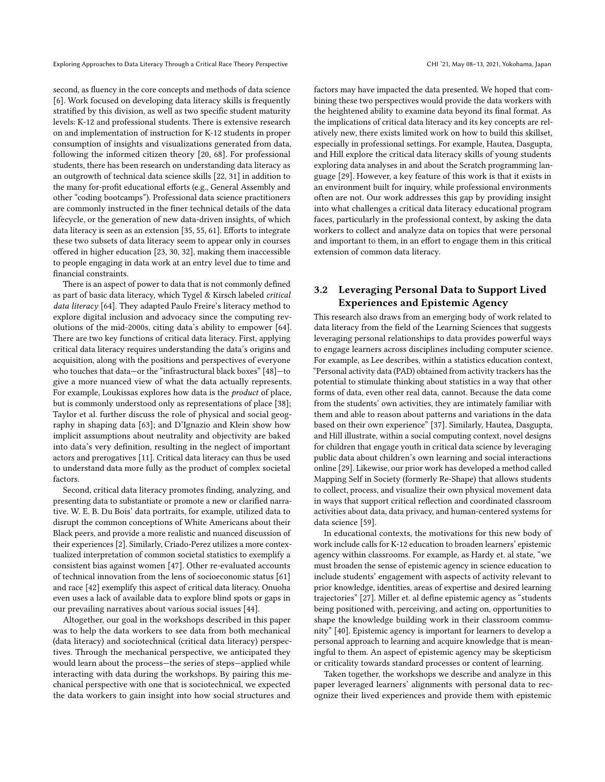second, as fuency in the core concepts and methods of data science [\[6\]](#page-13-16). Work focused on developing data literacy skills is frequently stratifed by this division, as well as two specifc student maturity levels: K-12 and professional students. There is extensive research on and implementation of instruction for K-12 students in proper consumption of insights and visualizations generated from data, following the informed citizen theory [\[20,](#page-13-17) [68\]](#page-14-5). For professional students, there has been research on understanding data literacy as an outgrowth of technical data science skills [\[22,](#page-13-18) [31\]](#page-13-19) in addition to the many for-profit educational efforts (e.g., General Assembly and other "coding bootcamps"). Professional data science practitioners

are commonly instructed in the fner technical details of the data lifecycle, or the generation of new data-driven insights, of which data literacy is seen as an extension [\[35,](#page-13-20) [55,](#page-14-6) [61\]](#page-14-7). Efforts to integrate these two subsets of data literacy seem to appear only in courses ofered in higher education [\[23,](#page-13-21) [30,](#page-13-22) [32\]](#page-13-23), making them inaccessible to people engaging in data work at an entry level due to time and fnancial constraints.

There is an aspect of power to data that is not commonly defned as part of basic data literacy, which Tygel & Kirsch labeled critical data literacy [\[64\]](#page-14-8). They adapted Paulo Freire's literacy method to explore digital inclusion and advocacy since the computing revolutions of the mid-2000s, citing data's ability to empower [\[64\]](#page-14-8). There are two key functions of critical data literacy. First, applying critical data literacy requires understanding the data's origins and acquisition, along with the positions and perspectives of everyone who touches that data—or the "infrastructural black boxes" [\[48\]](#page-13-24)—to give a more nuanced view of what the data actually represents. For example, Loukissas explores how data is the product of place, but is commonly understood only as representations of place [\[38\]](#page-13-25); Taylor et al. further discuss the role of physical and social geography in shaping data [\[63\]](#page-14-9); and D'Ignazio and Klein show how implicit assumptions about neutrality and objectivity are baked into data's very defnition, resulting in the neglect of important actors and prerogatives [\[11\]](#page-13-26). Critical data literacy can thus be used to understand data more fully as the product of complex societal factors.

Second, critical data literacy promotes fnding, analyzing, and presenting data to substantiate or promote a new or clarifed narrative. W. E. B. Du Bois' data portraits, for example, utilized data to disrupt the common conceptions of White Americans about their Black peers, and provide a more realistic and nuanced discussion of their experiences [\[2\]](#page-12-0). Similarly, Criado-Perez utilizes a more contextualized interpretation of common societal statistics to exemplify a consistent bias against women [\[47\]](#page-13-27). Other re-evaluated accounts of technical innovation from the lens of socioeconomic status [\[61\]](#page-14-7) and race [\[42\]](#page-13-28) exemplify this aspect of critical data literacy. Onuoha even uses a lack of available data to explore blind spots or gaps in our prevailing narratives about various social issues [\[44\]](#page-13-29).

Altogether, our goal in the workshops described in this paper was to help the data workers to see data from both mechanical (data literacy) and sociotechnical (critical data literacy) perspectives. Through the mechanical perspective, we anticipated they would learn about the process—the series of steps—applied while interacting with data during the workshops. By pairing this mechanical perspective with one that is sociotechnical, we expected the data workers to gain insight into how social structures and

factors may have impacted the data presented. We hoped that combining these two perspectives would provide the data workers with the heightened ability to examine data beyond its fnal format. As the implications of critical data literacy and its key concepts are relatively new, there exists limited work on how to build this skillset, especially in professional settings. For example, Hautea, Dasgupta, and Hill explore the critical data literacy skills of young students exploring data analyses in and about the Scratch programming language [\[29\]](#page-13-30). However, a key feature of this work is that it exists in an environment built for inquiry, while professional environments often are not. Our work addresses this gap by providing insight into what challenges a critical data literacy educational program faces, particularly in the professional context, by asking the data workers to collect and analyze data on topics that were personal and important to them, in an effort to engage them in this critical

# 3.2 Leveraging Personal Data to Support Lived Experiences and Epistemic Agency

extension of common data literacy.

This research also draws from an emerging body of work related to data literacy from the feld of the Learning Sciences that suggests leveraging personal relationships to data provides powerful ways to engage learners across disciplines including computer science. For example, as Lee describes, within a statistics education context, "Personal activity data (PAD) obtained from activity trackers hasthe potential to stimulate thinking about statistics in a way that other forms of data, even other real data, cannot. Because the data come from the students' own activities, they are intimately familiar with them and able to reason about patterns and variations in the data based on their own experience" [\[37\]](#page-13-31). Similarly, Hautea, Dasgupta, and Hill illustrate, within a social computing context, novel designs for children that engage youth in critical data science by leveraging public data about children's own learning and social interactions online [\[29\]](#page-13-30). Likewise, our prior work has developed a method called Mapping Self in Society (formerly Re-Shape) that allows students to collect, process, and visualize their own physical movement data in ways that support critical refection and coordinated classroom activities about data, data privacy, and human-centered systems for data science [\[59\]](#page-14-10).

In educational contexts, the motivations for this new body of work include calls for K-12 education to broaden learners' epistemic agency within classrooms. For example, as Hardy et. al state, "we must broaden the sense of epistemic agency in science education to include students' engagement with aspects of activity relevant to prior knowledge, identities, areas of expertise and desired learning trajectories" [\[27\]](#page-13-32). Miller et. al defne epistemic agency as "students being positioned with, perceiving, and acting on, opportunities to shape the knowledge building work in their classroom community" [\[40\]](#page-13-33). Epistemic agency is important for learners to develop a personal approach to learning and acquire knowledge that is meaningful to them. An aspect of epistemic agency may be skepticism or criticality towards standard processes or content of learning.

Taken together, the workshops we describe and analyze in this paper leveraged learners' alignments with personal data to recognize their lived experiences and provide them with epistemic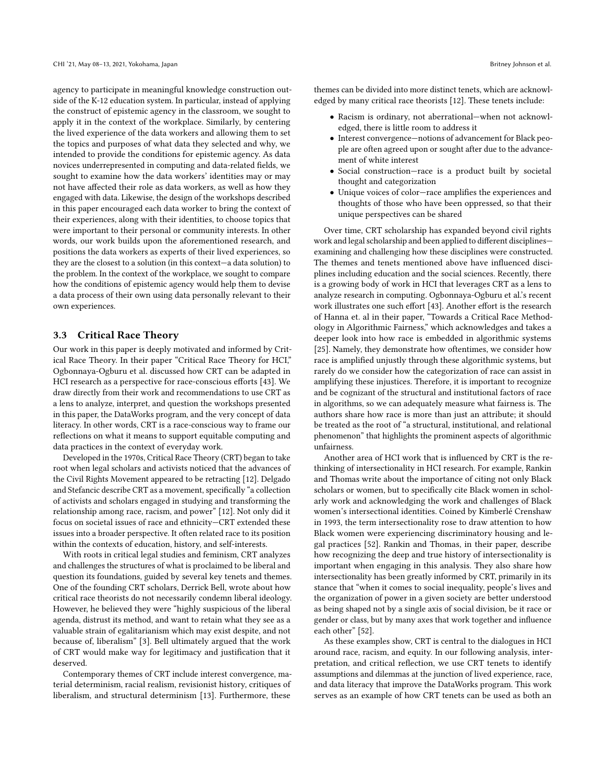agency to participate in meaningful knowledge construction outside of the K-12 education system. In particular, instead of applying the construct of epistemic agency in the classroom, we sought to apply it in the context of the workplace. Similarly, by centering the lived experience of the data workers and allowing them to set the topics and purposes of what data they selected and why, we intended to provide the conditions for epistemic agency. As data novices underrepresented in computing and data-related felds, we sought to examine how the data workers' identities may or may not have afected their role as data workers, as well as how they engaged with data. Likewise, the design of the workshops described in this paper encouraged each data worker to bring the context of their experiences, along with their identities, to choose topics that were important to their personal or community interests. In other words, our work builds upon the aforementioned research, and positions the data workers as experts of their lived experiences, so they are the closest to a solution (in this context—a data solution) to the problem. In the context of the workplace, we sought to compare how the conditions of epistemic agency would help them to devise a data process of their own using data personally relevant to their own experiences.

#### 3.3 Critical Race Theory

Our work in this paper is deeply motivated and informed by Critical Race Theory. In their paper "Critical Race Theory for HCI," Ogbonnaya-Ogburu et al. discussed how CRT can be adapted in HCI research as a perspective for race-conscious efforts [\[43\]](#page-13-1). We draw directly from their work and recommendations to use CRT as a lens to analyze, interpret, and question the workshops presented in this paper, the DataWorks program, and the very concept of data literacy. In other words, CRT is a race-conscious way to frame our refections on what it means to support equitable computing and data practices in the context of everyday work.

Developed in the 1970s, Critical Race Theory (CRT) began to take root when legal scholars and activists noticed that the advances of the Civil Rights Movement appeared to be retracting [\[12\]](#page-13-34). Delgado and Stefancic describe CRT as a movement, specifically "a collection of activists and scholars engaged in studying and transforming the relationship among race, racism, and power" [\[12\]](#page-13-34). Not only did it focus on societal issues of race and ethnicity—CRT extended these issues into a broader perspective. It often related race to its position within the contexts of education, history, and self-interests.

With roots in critical legal studies and feminism, CRT analyzes and challenges the structures of what is proclaimed to be liberal and question its foundations, guided by several key tenets and themes. One of the founding CRT scholars, Derrick Bell, wrote about how critical race theorists do not necessarily condemn liberal ideology. However, he believed they were "highly suspicious of the liberal agenda, distrust its method, and want to retain what they see as a valuable strain of egalitarianism which may exist despite, and not because of, liberalism" [\[3\]](#page-12-1). Bell ultimately argued that the work of CRT would make way for legitimacy and justifcation that it deserved.

Contemporary themes of CRT include interest convergence, material determinism, racial realism, revisionist history, critiques of liberalism, and structural determinism [\[13\]](#page-13-35). Furthermore, these

themes can be divided into more distinct tenets, which are acknowledged by many critical race theorists [\[12\]](#page-13-34). These tenets include:

- Racism is ordinary, not aberrational—when not acknowledged, there is little room to address it
- Interest convergence—notions of advancement for Black people are often agreed upon or sought after due to the advancement of white interest
- Social construction—race is a product built by societal thought and categorization
- Unique voices of color—race amplifes the experiences and thoughts of those who have been oppressed, so that their unique perspectives can be shared

Over time, CRT scholarship has expanded beyond civil rights work and legal scholarship and been applied to different disciplinesexamining and challenging how these disciplines were constructed. The themes and tenets mentioned above have infuenced disciplines including education and the social sciences. Recently, there is a growing body of work in HCI that leverages CRT as a lens to analyze research in computing. Ogbonnaya-Ogburu et al.'s recent work illustrates one such effort [\[43\]](#page-13-1). Another effort is the research of Hanna et. al in their paper, "Towards a Critical Race Methodology in Algorithmic Fairness," which acknowledges and takes a deeper look into how race is embedded in algorithmic systems [\[25\]](#page-13-2). Namely, they demonstrate how oftentimes, we consider how race is amplifed unjustly through these algorithmic systems, but rarely do we consider how the categorization of race can assist in amplifying these injustices. Therefore, it is important to recognize and be cognizant of the structural and institutional factors of race in algorithms, so we can adequately measure what fairness is. The authors share how race is more than just an attribute; it should be treated as the root of "a structural, institutional, and relational phenomenon" that highlights the prominent aspects of algorithmic unfairness.

Another area of HCI work that is infuenced by CRT is the rethinking of intersectionality in HCI research. For example, Rankin and Thomas write about the importance of citing not only Black scholars or women, but to specifcally cite Black women in scholarly work and acknowledging the work and challenges of Black women's intersectional identities. Coined by Kimberlé Crenshaw in 1993, the term intersectionality rose to draw attention to how Black women were experiencing discriminatory housing and legal practices [\[52\]](#page-14-11). Rankin and Thomas, in their paper, describe how recognizing the deep and true history of intersectionality is important when engaging in this analysis. They also share how intersectionality has been greatly informed by CRT, primarily in its stance that "when it comes to social inequality, people's lives and the organization of power in a given society are better understood as being shaped not by a single axis of social division, be it race or gender or class, but by many axes that work together and infuence each other" [\[52\]](#page-14-11).

As these examples show, CRT is central to the dialogues in HCI around race, racism, and equity. In our following analysis, interpretation, and critical refection, we use CRT tenets to identify assumptions and dilemmas at the junction of lived experience, race, and data literacy that improve the DataWorks program. This work serves as an example of how CRT tenets can be used as both an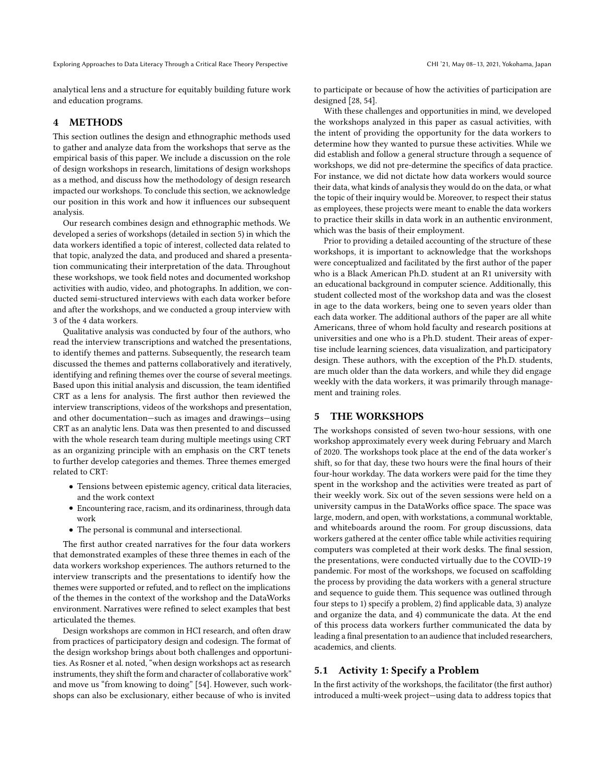analytical lens and a structure for equitably building future work and education programs.

## 4 METHODS

This section outlines the design and ethnographic methods used to gather and analyze data from the workshops that serve as the empirical basis of this paper. We include a discussion on the role of design workshops in research, limitations of design workshops as a method, and discuss how the methodology of design research impacted our workshops. To conclude this section, we acknowledge our position in this work and how it infuences our subsequent analysis.

Our research combines design and ethnographic methods. We developed a series of workshops (detailed in section 5) in which the data workers identifed a topic of interest, collected data related to that topic, analyzed the data, and produced and shared a presentation communicating their interpretation of the data. Throughout these workshops, we took feld notes and documented workshop activities with audio, video, and photographs. In addition, we conducted semi-structured interviews with each data worker before and after the workshops, and we conducted a group interview with 3 of the 4 data workers.

Qualitative analysis was conducted by four of the authors, who read the interview transcriptions and watched the presentations, to identify themes and patterns. Subsequently, the research team discussed the themes and patterns collaboratively and iteratively, identifying and refning themes over the course of several meetings. Based upon this initial analysis and discussion, the team identifed CRT as a lens for analysis. The frst author then reviewed the interview transcriptions, videos of the workshops and presentation, and other documentation—such as images and drawings—using CRT as an analytic lens. Data was then presented to and discussed with the whole research team during multiple meetings using CRT as an organizing principle with an emphasis on the CRT tenets to further develop categories and themes. Three themes emerged related to CRT:

- Tensions between epistemic agency, critical data literacies, and the work context
- Encountering race, racism, and its ordinariness, through data work
- The personal is communal and intersectional.

The frst author created narratives for the four data workers that demonstrated examples of these three themes in each of the data workers workshop experiences. The authors returned to the interview transcripts and the presentations to identify how the themes were supported or refuted, and to refect on the implications of the themes in the context of the workshop and the DataWorks environment. Narratives were refned to select examples that best articulated the themes.

Design workshops are common in HCI research, and often draw from practices of participatory design and codesign. The format of the design workshop brings about both challenges and opportunities. As Rosner et al. noted, "when design workshops act as research instruments, they shift the form and character of collaborative work" and move us "from knowing to doing" [\[54\]](#page-14-12). However, such workshops can also be exclusionary, either because of who is invited

to participate or because of how the activities of participation are designed [\[28,](#page-13-36) [54\]](#page-14-12).

With these challenges and opportunities in mind, we developed the workshops analyzed in this paper as casual activities, with the intent of providing the opportunity for the data workers to determine how they wanted to pursue these activities. While we did establish and follow a general structure through a sequence of workshops, we did not pre-determine the specifcs of data practice. For instance, we did not dictate how data workers would source their data, what kinds of analysisthey would do on the data, or what the topic of their inquiry would be. Moreover, to respect their status as employees, these projects were meant to enable the data workers to practice their skills in data work in an authentic environment, which was the basis of their employment.

Prior to providing a detailed accounting of the structure of these workshops, it is important to acknowledge that the workshops were conceptualized and facilitated by the frst author of the paper who is a Black American Ph.D. student at an R1 university with an educational background in computer science. Additionally, this student collected most of the workshop data and was the closest in age to the data workers, being one to seven years older than each data worker. The additional authors of the paper are all white Americans, three of whom hold faculty and research positions at universities and one who is a Ph.D. student. Their areas of expertise include learning sciences, data visualization, and participatory design. These authors, with the exception of the Ph.D. students, are much older than the data workers, and while they did engage weekly with the data workers, it was primarily through management and training roles.

## 5 THE WORKSHOPS

The workshops consisted of seven two-hour sessions, with one workshop approximately every week during February and March of 2020. The workshops took place at the end of the data worker's shift, so for that day, these two hours were the fnal hours of their four-hour workday. The data workers were paid for the time they spent in the workshop and the activities were treated as part of their weekly work. Six out of the seven sessions were held on a university campus in the DataWorks office space. The space was large, modern, and open, with workstations, a communal worktable, and whiteboards around the room. For group discussions, data workers gathered at the center office table while activities requiring computers was completed at their work desks. The fnal session, the presentations, were conducted virtually due to the COVID-19 pandemic. For most of the workshops, we focused on scafolding the process by providing the data workers with a general structure and sequence to guide them. This sequence was outlined through four steps to 1) specify a problem, 2) fnd applicable data, 3) analyze and organize the data, and 4) communicate the data. At the end of this process data workers further communicated the data by leading a fnal presentation to an audience that included researchers, academics, and clients.

## 5.1 Activity 1: Specify a Problem

In the frst activity of the workshops, the facilitator (the frst author) introduced a multi-week project—using data to address topics that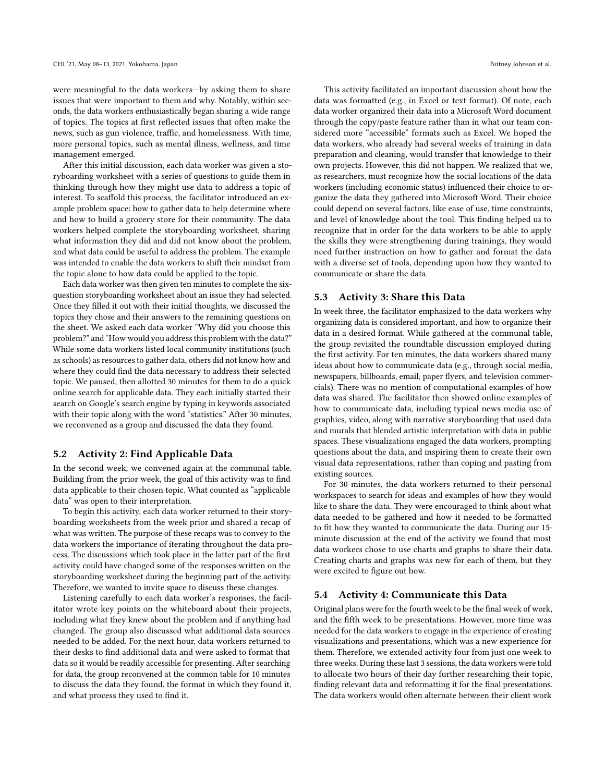were meaningful to the data workers—by asking them to share issues that were important to them and why. Notably, within seconds, the data workers enthusiastically began sharing a wide range of topics. The topics at frst refected issues that often make the news, such as gun violence, traffic, and homelessness. With time, more personal topics, such as mental illness, wellness, and time management emerged.

After this initial discussion, each data worker was given a storyboarding worksheet with a series of questions to guide them in thinking through how they might use data to address a topic of interest. To scaffold this process, the facilitator introduced an example problem space: how to gather data to help determine where and how to build a grocery store for their community. The data workers helped complete the storyboarding worksheet, sharing what information they did and did not know about the problem, and what data could be useful to address the problem. The example was intended to enable the data workers to shift their mindset from the topic alone to how data could be applied to the topic.

Each data worker was then given ten minutes to complete the sixquestion storyboarding worksheet about an issue they had selected. Once they flled it out with their initial thoughts, we discussed the topics they chose and their answers to the remaining questions on the sheet. We asked each data worker "Why did you choose this problem?" and "How would you addressthis problem with the data?" While some data workers listed local community institutions (such as schools) as resources to gather data, others did not know how and where they could fnd the data necessary to address their selected topic. We paused, then allotted 30 minutes for them to do a quick online search for applicable data. They each initially started their search on Google's search engine by typing in keywords associated with their topic along with the word "statistics." After 30 minutes, we reconvened as a group and discussed the data they found.

#### 5.2 Activity 2: Find Applicable Data

In the second week, we convened again at the communal table. Building from the prior week, the goal of this activity was to fnd data applicable to their chosen topic. What counted as "applicable data" was open to their interpretation.

To begin this activity, each data worker returned to their storyboarding worksheets from the week prior and shared a recap of what was written. The purpose of these recaps was to convey to the data workers the importance of iterating throughout the data process. The discussions which took place in the latter part of the frst activity could have changed some of the responses written on the storyboarding worksheet during the beginning part of the activity. Therefore, we wanted to invite space to discuss these changes.

Listening carefully to each data worker's responses, the facilitator wrote key points on the whiteboard about their projects, including what they knew about the problem and if anything had changed. The group also discussed what additional data sources needed to be added. For the next hour, data workers returned to their desks to fnd additional data and were asked to format that data so it would be readily accessible for presenting. After searching for data, the group reconvened at the common table for 10 minutes to discuss the data they found, the format in which they found it, and what process they used to fnd it.

This activity facilitated an important discussion about how the data was formatted (e.g., in Excel or text format). Of note, each data worker organized their data into a Microsoft Word document through the copy/paste feature rather than in what our team considered more "accessible" formats such as Excel. We hoped the data workers, who already had several weeks of training in data preparation and cleaning, would transfer that knowledge to their own projects. However, this did not happen. We realized that we, as researchers, must recognize how the social locations of the data workers (including economic status) infuenced their choice to organize the data they gathered into Microsoft Word. Their choice could depend on several factors, like ease of use, time constraints, and level of knowledge about the tool. This fnding helped us to recognize that in order for the data workers to be able to apply the skills they were strengthening during trainings, they would need further instruction on how to gather and format the data with a diverse set of tools, depending upon how they wanted to communicate or share the data.

#### 5.3 Activity 3: Share this Data

In week three, the facilitator emphasized to the data workers why organizing data is considered important, and how to organize their data in a desired format. While gathered at the communal table, the group revisited the roundtable discussion employed during the frst activity. For ten minutes, the data workers shared many ideas about how to communicate data (e.g., through social media, newspapers, billboards, email, paper fyers, and television commercials). There was no mention of computational examples of how data was shared. The facilitator then showed online examples of how to communicate data, including typical news media use of graphics, video, along with narrative storyboarding that used data and murals that blended artistic interpretation with data in public spaces. These visualizations engaged the data workers, prompting questions about the data, and inspiring them to create their own visual data representations, rather than coping and pasting from existing sources.

For 30 minutes, the data workers returned to their personal workspaces to search for ideas and examples of how they would like to share the data. They were encouraged to think about what data needed to be gathered and how it needed to be formatted to ft how they wanted to communicate the data. During our 15 minute discussion at the end of the activity we found that most data workers chose to use charts and graphs to share their data. Creating charts and graphs was new for each of them, but they were excited to fgure out how.

#### 5.4 Activity 4: Communicate this Data

Original plans were for the fourth week to be the fnal week of work, and the ffth week to be presentations. However, more time was needed for the data workers to engage in the experience of creating visualizations and presentations, which was a new experience for them. Therefore, we extended activity four from just one week to three weeks. During these last 3 sessions, the data workers were told to allocate two hours of their day further researching their topic, fnding relevant data and reformatting it for the fnal presentations. The data workers would often alternate between their client work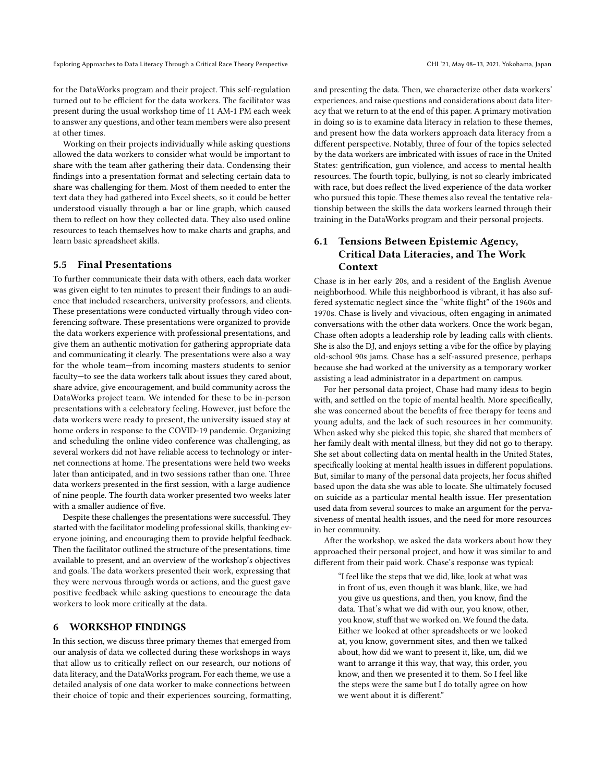for the DataWorks program and their project. This self-regulation turned out to be efficient for the data workers. The facilitator was present during the usual workshop time of 11 AM-1 PM each week to answer any questions, and other team members were also present at other times.

Working on their projects individually while asking questions allowed the data workers to consider what would be important to share with the team after gathering their data. Condensing their fndings into a presentation format and selecting certain data to share was challenging for them. Most of them needed to enter the text data they had gathered into Excel sheets, so it could be better understood visually through a bar or line graph, which caused them to refect on how they collected data. They also used online resources to teach themselves how to make charts and graphs, and learn basic spreadsheet skills.

#### 5.5 Final Presentations

To further communicate their data with others, each data worker was given eight to ten minutes to present their fndings to an audience that included researchers, university professors, and clients. These presentations were conducted virtually through video conferencing software. These presentations were organized to provide the data workers experience with professional presentations, and give them an authentic motivation for gathering appropriate data and communicating it clearly. The presentations were also a way for the whole team—from incoming masters students to senior faculty—to see the data workers talk about issues they cared about, share advice, give encouragement, and build community across the DataWorks project team. We intended for these to be in-person presentations with a celebratory feeling. However, just before the data workers were ready to present, the university issued stay at home orders in response to the COVID-19 pandemic. Organizing and scheduling the online video conference was challenging, as several workers did not have reliable access to technology or internet connections at home. The presentations were held two weeks later than anticipated, and in two sessions rather than one. Three data workers presented in the frst session, with a large audience of nine people. The fourth data worker presented two weeks later with a smaller audience of five.

Despite these challenges the presentations were successful. They started with the facilitator modeling professional skills, thanking everyone joining, and encouraging them to provide helpful feedback. Then the facilitator outlined the structure of the presentations, time available to present, and an overview of the workshop's objectives and goals. The data workers presented their work, expressing that they were nervous through words or actions, and the guest gave positive feedback while asking questions to encourage the data workers to look more critically at the data.

#### 6 WORKSHOP FINDINGS

In this section, we discuss three primary themes that emerged from our analysis of data we collected during these workshops in ways that allow us to critically refect on our research, our notions of data literacy, and the DataWorks program. For each theme, we use a detailed analysis of one data worker to make connections between their choice of topic and their experiences sourcing, formatting, and presenting the data. Then, we characterize other data workers' experiences, and raise questions and considerations about data literacy that we return to at the end of this paper. A primary motivation in doing so is to examine data literacy in relation to these themes, and present how the data workers approach data literacy from a diferent perspective. Notably, three of four of the topics selected by the data workers are imbricated with issues of race in the United States: gentrifcation, gun violence, and access to mental health resources. The fourth topic, bullying, is not so clearly imbricated with race, but does refect the lived experience of the data worker who pursued this topic. These themes also reveal the tentative relationship between the skills the data workers learned through their training in the DataWorks program and their personal projects.

# 6.1 Tensions Between Epistemic Agency, Critical Data Literacies, and The Work Context

Chase is in her early 20s, and a resident of the English Avenue neighborhood. While this neighborhood is vibrant, it has also suffered systematic neglect since the "white fight" of the 1960s and 1970s. Chase is lively and vivacious, often engaging in animated conversations with the other data workers. Once the work began, Chase often adopts a leadership role by leading calls with clients. She is also the DJ, and enjoys setting a vibe for the office by playing old-school 90s jams. Chase has a self-assured presence, perhaps because she had worked at the university as a temporary worker assisting a lead administrator in a department on campus.

For her personal data project, Chase had many ideas to begin with, and settled on the topic of mental health. More specifcally, she was concerned about the benefts of free therapy for teens and young adults, and the lack of such resources in her community. When asked why she picked this topic, she shared that members of her family dealt with mental illness, but they did not go to therapy. She set about collecting data on mental health in the United States, specifcally looking at mental health issues in diferent populations. But, similar to many of the personal data projects, her focus shifted based upon the data she was able to locate. She ultimately focused on suicide as a particular mental health issue. Her presentation used data from several sources to make an argument for the pervasiveness of mental health issues, and the need for more resources in her community.

After the workshop, we asked the data workers about how they approached their personal project, and how it was similar to and diferent from their paid work. Chase's response was typical:

> "I feel like the steps that we did, like, look at what was in front of us, even though it was blank, like, we had you give us questions, and then, you know, fnd the data. That's what we did with our, you know, other, you know, stuff that we worked on. We found the data. Either we looked at other spreadsheets or we looked at, you know, government sites, and then we talked about, how did we want to present it, like, um, did we want to arrange it this way, that way, this order, you know, and then we presented it to them. So I feel like the steps were the same but I do totally agree on how we went about it is diferent."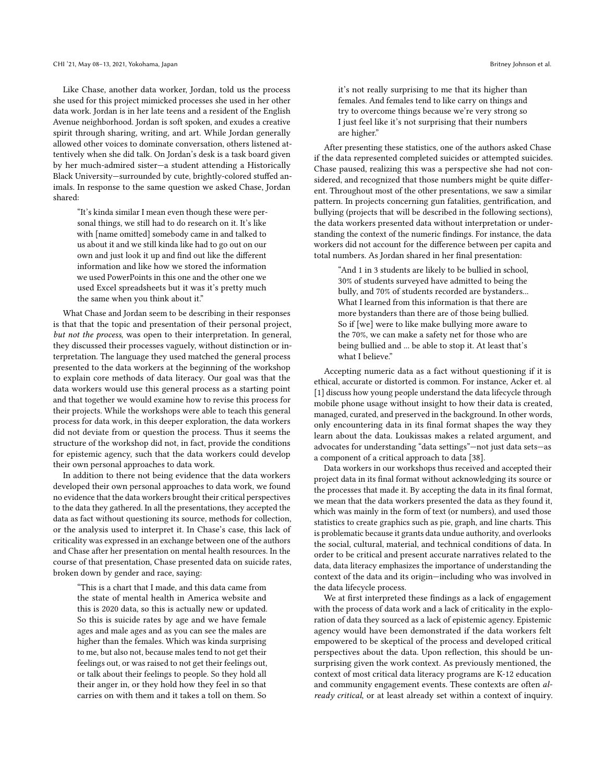Like Chase, another data worker, Jordan, told us the process she used for this project mimicked processes she used in her other data work. Jordan is in her late teens and a resident of the English Avenue neighborhood. Jordan is soft spoken, and exudes a creative spirit through sharing, writing, and art. While Jordan generally allowed other voices to dominate conversation, others listened attentively when she did talk. On Jordan's desk is a task board given by her much-admired sister—a student attending a Historically Black University—surrounded by cute, brightly-colored stufed animals. In response to the same question we asked Chase, Jordan shared:

"It's kinda similar I mean even though these were personal things, we still had to do research on it. It's like with [name omitted] somebody came in and talked to us about it and we still kinda like had to go out on our own and just look it up and fnd out like the diferent information and like how we stored the information we used PowerPoints in this one and the other one we used Excel spreadsheets but it was it's pretty much the same when you think about it."

What Chase and Jordan seem to be describing in their responses is that that the topic and presentation of their personal project, but not the process, was open to their interpretation. In general, they discussed their processes vaguely, without distinction or interpretation. The language they used matched the general process presented to the data workers at the beginning of the workshop to explain core methods of data literacy. Our goal was that the data workers would use this general process as a starting point and that together we would examine how to revise this process for their projects. While the workshops were able to teach this general process for data work, in this deeper exploration, the data workers did not deviate from or question the process. Thus it seems the structure of the workshop did not, in fact, provide the conditions for epistemic agency, such that the data workers could develop their own personal approaches to data work.

In addition to there not being evidence that the data workers developed their own personal approaches to data work, we found no evidence that the data workers brought their critical perspectives to the data they gathered. In all the presentations, they accepted the data as fact without questioning its source, methods for collection, or the analysis used to interpret it. In Chase's case, this lack of criticality was expressed in an exchange between one of the authors and Chase after her presentation on mental health resources. In the course of that presentation, Chase presented data on suicide rates, broken down by gender and race, saying:

"This is a chart that I made, and this data came from the state of mental health in America website and this is 2020 data, so this is actually new or updated. So this is suicide rates by age and we have female ages and male ages and as you can see the males are higher than the females. Which was kinda surprising to me, but also not, because males tend to not get their feelings out, or was raised to not get their feelings out, or talk about their feelings to people. So they hold all their anger in, or they hold how they feel in so that carries on with them and it takes a toll on them. So

it's not really surprising to me that its higher than females. And females tend to like carry on things and try to overcome things because we're very strong so I just feel like it's not surprising that their numbers are higher."

After presenting these statistics, one of the authors asked Chase if the data represented completed suicides or attempted suicides. Chase paused, realizing this was a perspective she had not considered, and recognized that those numbers might be quite diferent. Throughout most of the other presentations, we saw a similar pattern. In projects concerning gun fatalities, gentrifcation, and bullying (projects that will be described in the following sections), the data workers presented data without interpretation or understanding the context of the numeric fndings. For instance, the data workers did not account for the diference between per capita and total numbers. As Jordan shared in her fnal presentation:

"And 1 in 3 students are likely to be bullied in school, 30% of students surveyed have admitted to being the bully, and 70% of students recorded are bystanders... What I learned from this information is that there are more bystanders than there are of those being bullied. So if [we] were to like make bullying more aware to the 70%, we can make a safety net for those who are being bullied and ... be able to stop it. At least that's what I believe."

Accepting numeric data as a fact without questioning if it is ethical, accurate or distorted is common. For instance, Acker et. al [\[1\]](#page-12-2) discuss how young people understand the data lifecycle through mobile phone usage without insight to how their data is created, managed, curated, and preserved in the background. In other words, only encountering data in its fnal format shapes the way they learn about the data. Loukissas makes a related argument, and advocates for understanding "data settings"—not just data sets—as a component of a critical approach to data [\[38\]](#page-13-25).

Data workers in our workshops thus received and accepted their project data in its fnal format without acknowledging its source or the processes that made it. By accepting the data in its fnal format, we mean that the data workers presented the data as they found it, which was mainly in the form of text (or numbers), and used those statistics to create graphics such as pie, graph, and line charts. This is problematic because it grants data undue authority, and overlooks the social, cultural, material, and technical conditions of data. In order to be critical and present accurate narratives related to the data, data literacy emphasizes the importance of understanding the context of the data and its origin—including who was involved in the data lifecycle process.

We at frst interpreted these fndings as a lack of engagement with the process of data work and a lack of criticality in the exploration of data they sourced as a lack of epistemic agency. Epistemic agency would have been demonstrated if the data workers felt empowered to be skeptical of the process and developed critical perspectives about the data. Upon refection, this should be unsurprising given the work context. As previously mentioned, the context of most critical data literacy programs are K-12 education and community engagement events. These contexts are often already critical, or at least already set within a context of inquiry.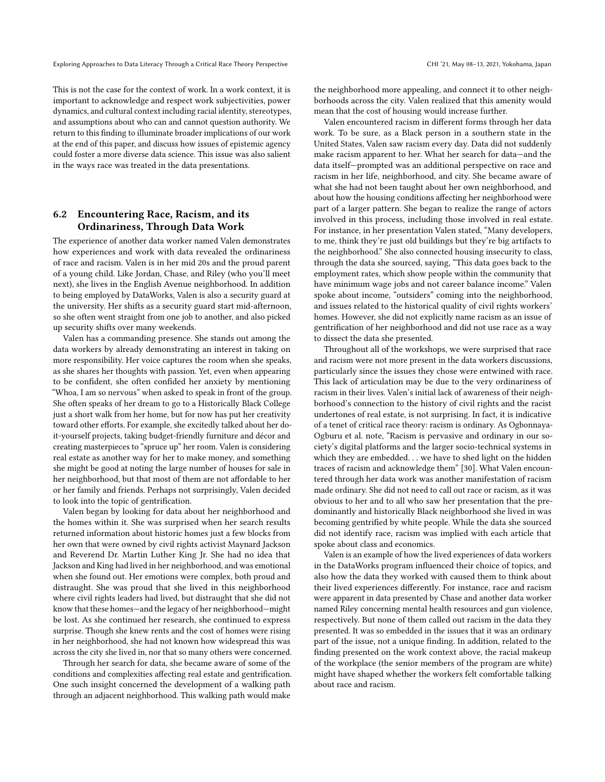This is not the case for the context of work. In a work context, it is important to acknowledge and respect work subjectivities, power dynamics, and cultural context including racial identity, stereotypes, and assumptions about who can and cannot question authority. We return to this fnding to illuminate broader implications of our work at the end of this paper, and discuss how issues of epistemic agency could foster a more diverse data science. This issue was also salient in the ways race was treated in the data presentations.

## 6.2 Encountering Race, Racism, and its Ordinariness, Through Data Work

The experience of another data worker named Valen demonstrates how experiences and work with data revealed the ordinariness of race and racism. Valen is in her mid 20s and the proud parent of a young child. Like Jordan, Chase, and Riley (who you'll meet next), she lives in the English Avenue neighborhood. In addition to being employed by DataWorks, Valen is also a security guard at the university. Her shifts as a security guard start mid-afternoon, so she often went straight from one job to another, and also picked up security shifts over many weekends.

Valen has a commanding presence. She stands out among the data workers by already demonstrating an interest in taking on more responsibility. Her voice captures the room when she speaks, as she shares her thoughts with passion. Yet, even when appearing to be confdent, she often confded her anxiety by mentioning "Whoa, I am so nervous" when asked to speak in front of the group. She often speaks of her dream to go to a Historically Black College just a short walk from her home, but for now has put her creativity toward other efforts. For example, she excitedly talked about her doit-yourself projects, taking budget-friendly furniture and décor and creating masterpieces to "spruce up" her room. Valen is considering real estate as another way for her to make money, and something she might be good at noting the large number of houses for sale in her neighborhood, but that most of them are not affordable to her or her family and friends. Perhaps not surprisingly, Valen decided to look into the topic of gentrifcation.

Valen began by looking for data about her neighborhood and the homes within it. She was surprised when her search results returned information about historic homes just a few blocks from her own that were owned by civil rights activist Maynard Jackson and Reverend Dr. Martin Luther King Jr. She had no idea that Jackson and King had lived in her neighborhood, and was emotional when she found out. Her emotions were complex, both proud and distraught. She was proud that she lived in this neighborhood where civil rights leaders had lived, but distraught that she did not know that these homes—and the legacy of her neighborhood—might be lost. As she continued her research, she continued to express surprise. Though she knew rents and the cost of homes were rising in her neighborhood, she had not known how widespread this was across the city she lived in, nor that so many others were concerned.

Through her search for data, she became aware of some of the conditions and complexities afecting real estate and gentrifcation. One such insight concerned the development of a walking path through an adjacent neighborhood. This walking path would make

the neighborhood more appealing, and connect it to other neighborhoods across the city. Valen realized that this amenity would mean that the cost of housing would increase further.

Valen encountered racism in diferent forms through her data work. To be sure, as a Black person in a southern state in the United States, Valen saw racism every day. Data did not suddenly make racism apparent to her. What her search for data—and the data itself—prompted was an additional perspective on race and racism in her life, neighborhood, and city. She became aware of what she had not been taught about her own neighborhood, and about how the housing conditions afecting her neighborhood were part of a larger pattern. She began to realize the range of actors involved in this process, including those involved in real estate. For instance, in her presentation Valen stated, "Many developers, to me, think they're just old buildings but they're big artifacts to the neighborhood." She also connected housing insecurity to class, through the data she sourced, saying, "This data goes back to the employment rates, which show people within the community that have minimum wage jobs and not career balance income." Valen spoke about income, "outsiders" coming into the neighborhood, and issues related to the historical quality of civil rights workers' homes. However, she did not explicitly name racism as an issue of gentrifcation of her neighborhood and did not use race as a way to dissect the data she presented.

Throughout all of the workshops, we were surprised that race and racism were not more present in the data workers discussions, particularly since the issues they chose were entwined with race. This lack of articulation may be due to the very ordinariness of racism in their lives. Valen's initial lack of awareness of their neighborhood's connection to the history of civil rights and the racist undertones of real estate, is not surprising. In fact, it is indicative of a tenet of critical race theory: racism is ordinary. As Ogbonnaya-Ogburu et al. note, "Racism is pervasive and ordinary in our society's digital platforms and the larger socio-technical systems in which they are embedded. . . we have to shed light on the hidden traces of racism and acknowledge them" [\[30\]](#page-13-22). What Valen encountered through her data work was another manifestation of racism made ordinary. She did not need to call out race or racism, as it was obvious to her and to all who saw her presentation that the predominantly and historically Black neighborhood she lived in was becoming gentrifed by white people. While the data she sourced did not identify race, racism was implied with each article that spoke about class and economics.

Valen is an example of how the lived experiences of data workers in the DataWorks program infuenced their choice of topics, and also how the data they worked with caused them to think about their lived experiences diferently. For instance, race and racism were apparent in data presented by Chase and another data worker named Riley concerning mental health resources and gun violence, respectively. But none of them called out racism in the data they presented. It was so embedded in the issues that it was an ordinary part of the issue, not a unique fnding. In addition, related to the fnding presented on the work context above, the racial makeup of the workplace (the senior members of the program are white) might have shaped whether the workers felt comfortable talking about race and racism.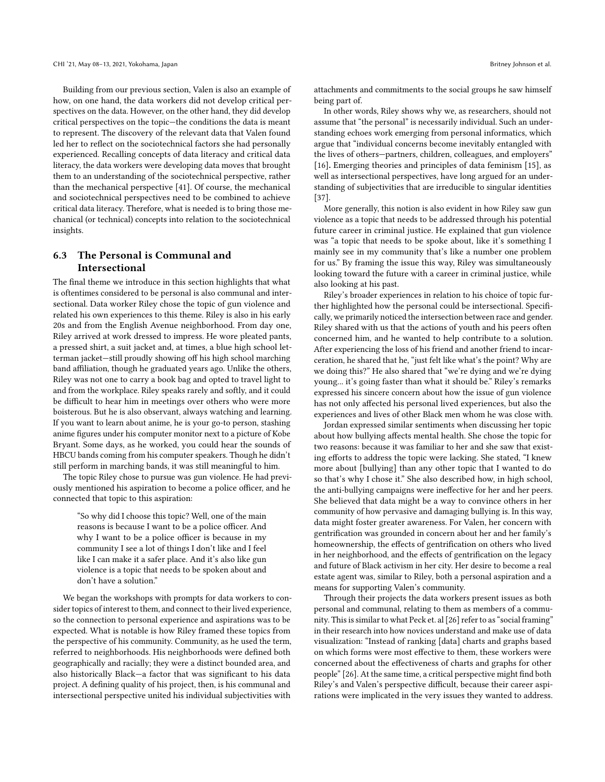Building from our previous section, Valen is also an example of how, on one hand, the data workers did not develop critical perspectives on the data. However, on the other hand, they did develop critical perspectives on the topic—the conditions the data is meant to represent. The discovery of the relevant data that Valen found led her to refect on the sociotechnical factors she had personally experienced. Recalling concepts of data literacy and critical data literacy, the data workers were developing data moves that brought them to an understanding of the sociotechnical perspective, rather than the mechanical perspective [\[41\]](#page-13-8). Of course, the mechanical and sociotechnical perspectives need to be combined to achieve critical data literacy. Therefore, what is needed is to bring those mechanical (or technical) concepts into relation to the sociotechnical insights.

# 6.3 The Personal is Communal and Intersectional

The fnal theme we introduce in this section highlights that what is oftentimes considered to be personal is also communal and intersectional. Data worker Riley chose the topic of gun violence and related his own experiences to this theme. Riley is also in his early 20s and from the English Avenue neighborhood. From day one, Riley arrived at work dressed to impress. He wore pleated pants, a pressed shirt, a suit jacket and, at times, a blue high school letterman jacket-still proudly showing off his high school marching band afliation, though he graduated years ago. Unlike the others, Riley was not one to carry a book bag and opted to travel light to and from the workplace. Riley speaks rarely and softly, and it could be difficult to hear him in meetings over others who were more boisterous. But he is also observant, always watching and learning. If you want to learn about anime, he is your go-to person, stashing anime fgures under his computer monitor next to a picture of Kobe Bryant. Some days, as he worked, you could hear the sounds of HBCU bands coming from his computer speakers. Though he didn't still perform in marching bands, it was still meaningful to him.

The topic Riley chose to pursue was gun violence. He had previously mentioned his aspiration to become a police officer, and he connected that topic to this aspiration:

"So why did I choose this topic? Well, one of the main reasons is because I want to be a police officer. And why I want to be a police officer is because in my community I see a lot of things I don't like and I feel like I can make it a safer place. And it's also like gun violence is a topic that needs to be spoken about and don't have a solution."

We began the workshops with prompts for data workers to consider topics of interest to them, and connect to their lived experience, so the connection to personal experience and aspirations was to be expected. What is notable is how Riley framed these topics from the perspective of his community. Community, as he used the term, referred to neighborhoods. His neighborhoods were defned both geographically and racially; they were a distinct bounded area, and also historically Black—a factor that was signifcant to his data project. A defning quality of his project, then, is his communal and intersectional perspective united his individual subjectivities with

attachments and commitments to the social groups he saw himself being part of.

In other words, Riley shows why we, as researchers, should not assume that "the personal" is necessarily individual. Such an understanding echoes work emerging from personal informatics, which argue that "individual concerns become inevitably entangled with the lives of others—partners, children, colleagues, and employers" [\[16\]](#page-13-37). Emerging theories and principles of data feminism [\[15\]](#page-13-12), as well as intersectional perspectives, have long argued for an understanding of subjectivities that are irreducible to singular identities [\[37\]](#page-13-31).

More generally, this notion is also evident in how Riley saw gun violence as a topic that needs to be addressed through his potential future career in criminal justice. He explained that gun violence was "a topic that needs to be spoke about, like it's something I mainly see in my community that's like a number one problem for us." By framing the issue this way, Riley was simultaneously looking toward the future with a career in criminal justice, while also looking at his past.

Riley's broader experiences in relation to his choice of topic further highlighted how the personal could be intersectional. Specifcally, we primarily noticed the intersection between race and gender. Riley shared with us that the actions of youth and his peers often concerned him, and he wanted to help contribute to a solution. After experiencing the loss of his friend and another friend to incarceration, he shared that he, "just felt like what's the point? Why are we doing this?" He also shared that "we're dying and we're dying young... it's going faster than what it should be." Riley's remarks expressed his sincere concern about how the issue of gun violence has not only afected his personal lived experiences, but also the experiences and lives of other Black men whom he was close with.

Jordan expressed similar sentiments when discussing her topic about how bullying afects mental health. She chose the topic for two reasons: because it was familiar to her and she saw that existing efforts to address the topic were lacking. She stated, "I knew more about [bullying] than any other topic that I wanted to do so that's why I chose it." She also described how, in high school, the anti-bullying campaigns were inefective for her and her peers. She believed that data might be a way to convince others in her community of how pervasive and damaging bullying is. In this way, data might foster greater awareness. For Valen, her concern with gentrifcation was grounded in concern about her and her family's homeownership, the efects of gentrifcation on others who lived in her neighborhood, and the effects of gentrification on the legacy and future of Black activism in her city. Her desire to become a real estate agent was, similar to Riley, both a personal aspiration and a means for supporting Valen's community.

Through their projects the data workers present issues as both personal and communal, relating to them as members of a commu-nity. This is similar to what Peck et. al [\[26\]](#page-13-38) refer to as "social framing" in their research into how novices understand and make use of data visualization: "Instead of ranking [data] charts and graphs based on which forms were most efective to them, these workers were concerned about the efectiveness of charts and graphs for other people" [\[26\]](#page-13-38). At the same time, a critical perspective might fnd both Riley's and Valen's perspective difficult, because their career aspirations were implicated in the very issues they wanted to address.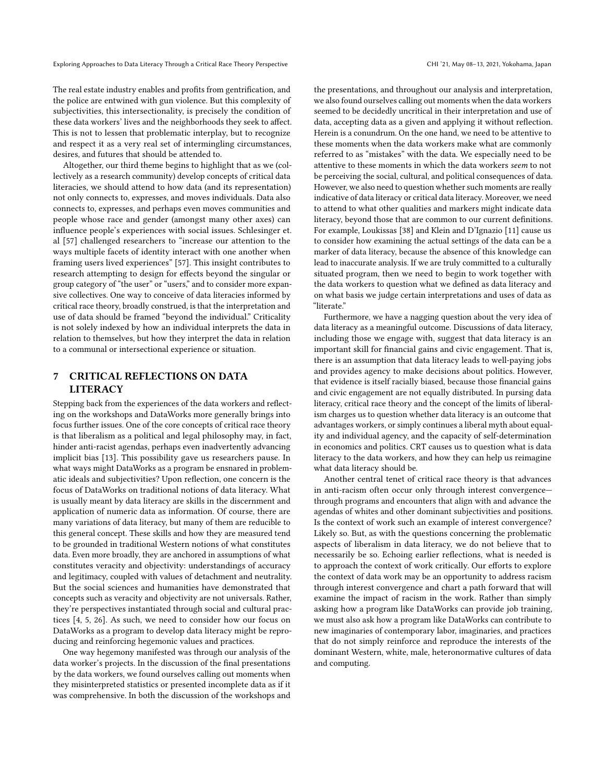The real estate industry enables and profts from gentrifcation, and the police are entwined with gun violence. But this complexity of subjectivities, this intersectionality, is precisely the condition of these data workers' lives and the neighborhoods they seek to afect. This is not to lessen that problematic interplay, but to recognize and respect it as a very real set of intermingling circumstances, desires, and futures that should be attended to.

Altogether, our third theme begins to highlight that as we (collectively as a research community) develop concepts of critical data literacies, we should attend to how data (and its representation) not only connects to, expresses, and moves individuals. Data also connects to, expresses, and perhaps even moves communities and people whose race and gender (amongst many other axes) can infuence people's experiences with social issues. Schlesinger et. al [\[57\]](#page-14-13) challenged researchers to "increase our attention to the ways multiple facets of identity interact with one another when framing users lived experiences" [\[57\]](#page-14-13). This insight contributes to research attempting to design for efects beyond the singular or group category of "the user" or "users," and to consider more expansive collectives. One way to conceive of data literacies informed by critical race theory, broadly construed, is that the interpretation and use of data should be framed "beyond the individual." Criticality is not solely indexed by how an individual interprets the data in relation to themselves, but how they interpret the data in relation to a communal or intersectional experience or situation.

## 7 CRITICAL REFLECTIONS ON DATA **LITERACY**

Stepping back from the experiences of the data workers and refecting on the workshops and DataWorks more generally brings into focus further issues. One of the core concepts of critical race theory is that liberalism as a political and legal philosophy may, in fact, hinder anti-racist agendas, perhaps even inadvertently advancing implicit bias [\[13\]](#page-13-35). This possibility gave us researchers pause. In what ways might DataWorks as a program be ensnared in problematic ideals and subjectivities? Upon refection, one concern is the focus of DataWorks on traditional notions of data literacy. What is usually meant by data literacy are skills in the discernment and application of numeric data as information. Of course, there are many variations of data literacy, but many of them are reducible to this general concept. These skills and how they are measured tend to be grounded in traditional Western notions of what constitutes data. Even more broadly, they are anchored in assumptions of what constitutes veracity and objectivity: understandings of accuracy and legitimacy, coupled with values of detachment and neutrality. But the social sciences and humanities have demonstrated that concepts such as veracity and objectivity are not universals. Rather, they're perspectives instantiated through social and cultural practices [\[4,](#page-12-3) [5,](#page-12-4) [26\]](#page-13-38). As such, we need to consider how our focus on DataWorks as a program to develop data literacy might be reproducing and reinforcing hegemonic values and practices.

One way hegemony manifested was through our analysis of the data worker's projects. In the discussion of the fnal presentations by the data workers, we found ourselves calling out moments when they misinterpreted statistics or presented incomplete data as if it was comprehensive. In both the discussion of the workshops and

the presentations, and throughout our analysis and interpretation, we also found ourselves calling out moments when the data workers seemed to be decidedly uncritical in their interpretation and use of data, accepting data as a given and applying it without refection. Herein is a conundrum. On the one hand, we need to be attentive to these moments when the data workers make what are commonly referred to as "mistakes" with the data. We especially need to be attentive to these moments in which the data workers seem to not be perceiving the social, cultural, and political consequences of data. However, we also need to question whether such moments are really indicative of data literacy or critical data literacy. Moreover, we need to attend to what other qualities and markers might indicate data literacy, beyond those that are common to our current defnitions. For example, Loukissas [\[38\]](#page-13-25) and Klein and D'Ignazio [\[11\]](#page-13-26) cause us to consider how examining the actual settings of the data can be a marker of data literacy, because the absence of this knowledge can lead to inaccurate analysis. If we are truly committed to a culturally situated program, then we need to begin to work together with the data workers to question what we defned as data literacy and on what basis we judge certain interpretations and uses of data as "literate."

Furthermore, we have a nagging question about the very idea of data literacy as a meaningful outcome. Discussions of data literacy, including those we engage with, suggest that data literacy is an important skill for fnancial gains and civic engagement. That is, there is an assumption that data literacy leads to well-paying jobs and provides agency to make decisions about politics. However, that evidence is itself racially biased, because those fnancial gains and civic engagement are not equally distributed. In pursing data literacy, critical race theory and the concept of the limits of liberalism charges us to question whether data literacy is an outcome that advantages workers, or simply continues a liberal myth about equality and individual agency, and the capacity of self-determination in economics and politics. CRT causes us to question what is data literacy to the data workers, and how they can help us reimagine what data literacy should be.

Another central tenet of critical race theory is that advances in anti-racism often occur only through interest convergence through programs and encounters that align with and advance the agendas of whites and other dominant subjectivities and positions. Is the context of work such an example of interest convergence? Likely so. But, as with the questions concerning the problematic aspects of liberalism in data literacy, we do not believe that to necessarily be so. Echoing earlier refections, what is needed is to approach the context of work critically. Our eforts to explore the context of data work may be an opportunity to address racism through interest convergence and chart a path forward that will examine the impact of racism in the work. Rather than simply asking how a program like DataWorks can provide job training, we must also ask how a program like DataWorks can contribute to new imaginaries of contemporary labor, imaginaries, and practices that do not simply reinforce and reproduce the interests of the dominant Western, white, male, heteronormative cultures of data and computing.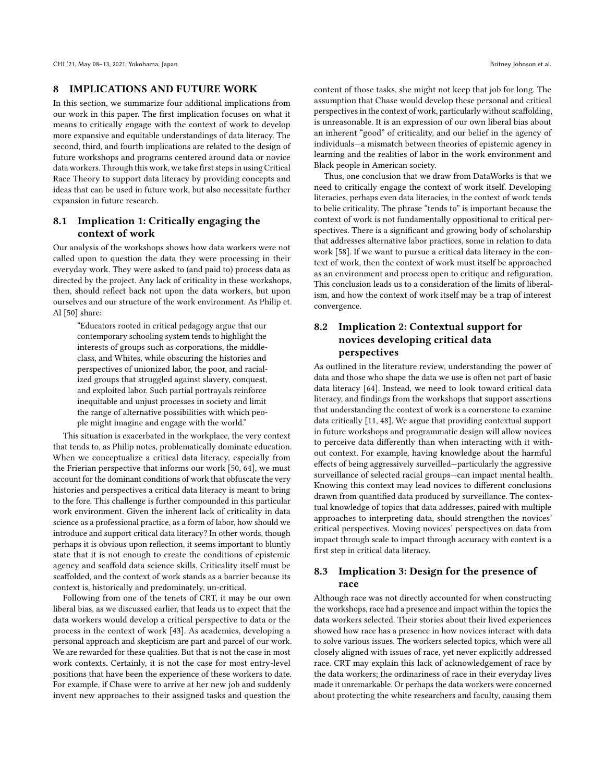## 8 IMPLICATIONS AND FUTURE WORK

In this section, we summarize four additional implications from our work in this paper. The frst implication focuses on what it means to critically engage with the context of work to develop more expansive and equitable understandings of data literacy. The second, third, and fourth implications are related to the design of future workshops and programs centered around data or novice data workers. Through this work, we take first steps in using Critical Race Theory to support data literacy by providing concepts and ideas that can be used in future work, but also necessitate further expansion in future research.

## 8.1 Implication 1: Critically engaging the context of work

Our analysis of the workshops shows how data workers were not called upon to question the data they were processing in their everyday work. They were asked to (and paid to) process data as directed by the project. Any lack of criticality in these workshops, then, should refect back not upon the data workers, but upon ourselves and our structure of the work environment. As Philip et. Al [\[50\]](#page-13-39) share:

"Educators rooted in critical pedagogy argue that our contemporary schooling system tends to highlight the interests of groups such as corporations, the middleclass, and Whites, while obscuring the histories and perspectives of unionized labor, the poor, and racialized groups that struggled against slavery, conquest, and exploited labor. Such partial portrayals reinforce inequitable and unjust processes in society and limit the range of alternative possibilities with which people might imagine and engage with the world."

This situation is exacerbated in the workplace, the very context that tends to, as Philip notes, problematically dominate education. When we conceptualize a critical data literacy, especially from the Frierian perspective that informs our work [\[50,](#page-13-39) [64\]](#page-14-8), we must account for the dominant conditions of work that obfuscate the very histories and perspectives a critical data literacy is meant to bring to the fore. This challenge is further compounded in this particular work environment. Given the inherent lack of criticality in data science as a professional practice, as a form of labor, how should we introduce and support critical data literacy? In other words, though perhaps it is obvious upon refection, it seems important to bluntly state that it is not enough to create the conditions of epistemic agency and scafold data science skills. Criticality itself must be scaffolded, and the context of work stands as a barrier because its context is, historically and predominately, un-critical.

Following from one of the tenets of CRT, it may be our own liberal bias, as we discussed earlier, that leads us to expect that the data workers would develop a critical perspective to data or the process in the context of work [\[43\]](#page-13-1). As academics, developing a personal approach and skepticism are part and parcel of our work. We are rewarded for these qualities. But that is not the case in most work contexts. Certainly, it is not the case for most entry-level positions that have been the experience of these workers to date. For example, if Chase were to arrive at her new job and suddenly invent new approaches to their assigned tasks and question the

content of those tasks, she might not keep that job for long. The assumption that Chase would develop these personal and critical perspectives in the context of work, particularly without scaffolding, is unreasonable. It is an expression of our own liberal bias about an inherent "good" of criticality, and our belief in the agency of individuals—a mismatch between theories of epistemic agency in learning and the realities of labor in the work environment and Black people in American society.

Thus, one conclusion that we draw from DataWorks is that we need to critically engage the context of work itself. Developing literacies, perhaps even data literacies, in the context of work tends to belie criticality. The phrase "tends to" is important because the context of work is not fundamentally oppositional to critical perspectives. There is a signifcant and growing body of scholarship that addresses alternative labor practices, some in relation to data work [\[58\]](#page-14-14). If we want to pursue a critical data literacy in the context of work, then the context of work must itself be approached as an environment and process open to critique and refguration. This conclusion leads us to a consideration of the limits of liberalism, and how the context of work itself may be a trap of interest convergence.

# 8.2 Implication 2: Contextual support for novices developing critical data perspectives

As outlined in the literature review, understanding the power of data and those who shape the data we use is often not part of basic data literacy [\[64\]](#page-14-8). Instead, we need to look toward critical data literacy, and fndings from the workshops that support assertions that understanding the context of work is a cornerstone to examine data critically [\[11,](#page-13-26) [48\]](#page-13-24). We argue that providing contextual support in future workshops and programmatic design will allow novices to perceive data diferently than when interacting with it without context. For example, having knowledge about the harmful efects of being aggressively surveilled—particularly the aggressive surveillance of selected racial groups—can impact mental health. Knowing this context may lead novices to diferent conclusions drawn from quantifed data produced by surveillance. The contextual knowledge of topics that data addresses, paired with multiple approaches to interpreting data, should strengthen the novices' critical perspectives. Moving novices' perspectives on data from impact through scale to impact through accuracy with context is a frst step in critical data literacy.

## 8.3 Implication 3: Design for the presence of race

Although race was not directly accounted for when constructing the workshops, race had a presence and impact within the topics the data workers selected. Their stories about their lived experiences showed how race has a presence in how novices interact with data to solve various issues. The workers selected topics, which were all closely aligned with issues of race, yet never explicitly addressed race. CRT may explain this lack of acknowledgement of race by the data workers; the ordinariness of race in their everyday lives made it unremarkable. Or perhaps the data workers were concerned about protecting the white researchers and faculty, causing them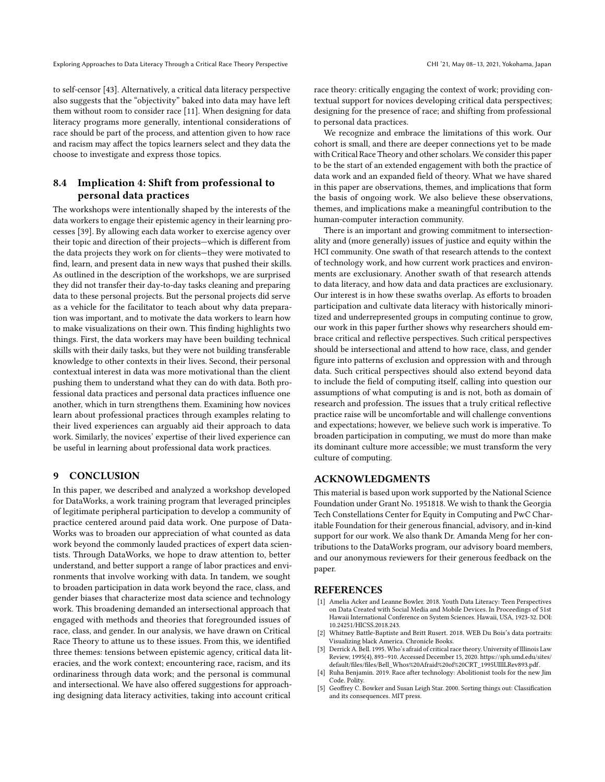to self-censor [\[43\]](#page-13-1). Alternatively, a critical data literacy perspective also suggests that the "objectivity" baked into data may have left them without room to consider race [\[11\]](#page-13-26). When designing for data literacy programs more generally, intentional considerations of race should be part of the process, and attention given to how race and racism may afect the topics learners select and they data the choose to investigate and express those topics.

## 8.4 Implication 4: Shift from professional to personal data practices

The workshops were intentionally shaped by the interests of the data workers to engage their epistemic agency in their learning processes [\[39\]](#page-13-40). By allowing each data worker to exercise agency over their topic and direction of their projects—which is diferent from the data projects they work on for clients—they were motivated to fnd, learn, and present data in new ways that pushed their skills. As outlined in the description of the workshops, we are surprised they did not transfer their day-to-day tasks cleaning and preparing data to these personal projects. But the personal projects did serve as a vehicle for the facilitator to teach about why data preparation was important, and to motivate the data workers to learn how to make visualizations on their own. This fnding highlights two things. First, the data workers may have been building technical skills with their daily tasks, but they were not building transferable knowledge to other contexts in their lives. Second, their personal contextual interest in data was more motivational than the client pushing them to understand what they can do with data. Both professional data practices and personal data practices infuence one another, which in turn strengthens them. Examining how novices learn about professional practices through examples relating to their lived experiences can arguably aid their approach to data work. Similarly, the novices' expertise of their lived experience can be useful in learning about professional data work practices.

## 9 CONCLUSION

In this paper, we described and analyzed a workshop developed for DataWorks, a work training program that leveraged principles of legitimate peripheral participation to develop a community of practice centered around paid data work. One purpose of Data-Works was to broaden our appreciation of what counted as data work beyond the commonly lauded practices of expert data scientists. Through DataWorks, we hope to draw attention to, better understand, and better support a range of labor practices and environments that involve working with data. In tandem, we sought to broaden participation in data work beyond the race, class, and gender biases that characterize most data science and technology work. This broadening demanded an intersectional approach that engaged with methods and theories that foregrounded issues of race, class, and gender. In our analysis, we have drawn on Critical Race Theory to attune us to these issues. From this, we identifed three themes: tensions between epistemic agency, critical data literacies, and the work context; encountering race, racism, and its ordinariness through data work; and the personal is communal and intersectional. We have also offered suggestions for approaching designing data literacy activities, taking into account critical

race theory: critically engaging the context of work; providing contextual support for novices developing critical data perspectives; designing for the presence of race; and shifting from professional to personal data practices.

We recognize and embrace the limitations of this work. Our cohort is small, and there are deeper connections yet to be made with Critical Race Theory and other scholars. We consider this paper to be the start of an extended engagement with both the practice of data work and an expanded feld of theory. What we have shared in this paper are observations, themes, and implications that form the basis of ongoing work. We also believe these observations, themes, and implications make a meaningful contribution to the human-computer interaction community.

There is an important and growing commitment to intersectionality and (more generally) issues of justice and equity within the HCI community. One swath of that research attends to the context of technology work, and how current work practices and environments are exclusionary. Another swath of that research attends to data literacy, and how data and data practices are exclusionary. Our interest is in how these swaths overlap. As eforts to broaden participation and cultivate data literacy with historically minoritized and underrepresented groups in computing continue to grow, our work in this paper further shows why researchers should embrace critical and refective perspectives. Such critical perspectives should be intersectional and attend to how race, class, and gender fgure into patterns of exclusion and oppression with and through data. Such critical perspectives should also extend beyond data to include the feld of computing itself, calling into question our assumptions of what computing is and is not, both as domain of research and profession. The issues that a truly critical refective practice raise will be uncomfortable and will challenge conventions and expectations; however, we believe such work is imperative. To broaden participation in computing, we must do more than make its dominant culture more accessible; we must transform the very culture of computing.

## ACKNOWLEDGMENTS

This material is based upon work supported by the National Science Foundation under Grant No. 1951818. We wish to thank the Georgia Tech Constellations Center for Equity in Computing and PwC Charitable Foundation for their generous fnancial, advisory, and in-kind support for our work. We also thank Dr. Amanda Meng for her contributions to the DataWorks program, our advisory board members, and our anonymous reviewers for their generous feedback on the paper.

#### **REFERENCES**

- <span id="page-12-2"></span>[1] Amelia Acker and Leanne Bowler. 2018. Youth Data Literacy: Teen Perspectives on Data Created with Social Media and Mobile Devices. In Proceedings of 51st Hawaii International Conference on System Sciences. Hawaii, USA, 1923-32. DOI: 10.24251/HICSS.2018.243.
- <span id="page-12-0"></span>Whitney Battle-Baptiste and Britt Rusert. 2018. WEB Du Bois's data portraits: Visualizing black America. Chronicle Books.
- <span id="page-12-1"></span>[3] Derrick A. Bell. 1995. Who's afraid of critical race theory. University of Illinois Law Review, 1995(4), 893–910. Accessed December 15, 2020. [https://sph.umd.edu/sites/](https://sph.umd.edu/sites/default/files/files/Bell_Whos%20Afraid%20of%20CRT_1995UIllLRev893.pdf) [default/fles/fles/Bell\\_Whos%20Afraid%20of%20CRT\\_1995UIllLRev893.pdf.](https://sph.umd.edu/sites/default/files/files/Bell_Whos%20Afraid%20of%20CRT_1995UIllLRev893.pdf)
- <span id="page-12-3"></span>Ruha Benjamin. 2019. Race after technology: Abolitionist tools for the new Jim Code. Polity.
- <span id="page-12-4"></span>[5] Geofrey C. Bowker and Susan Leigh Star. 2000. Sorting things out: Classifcation and its consequences. MIT press.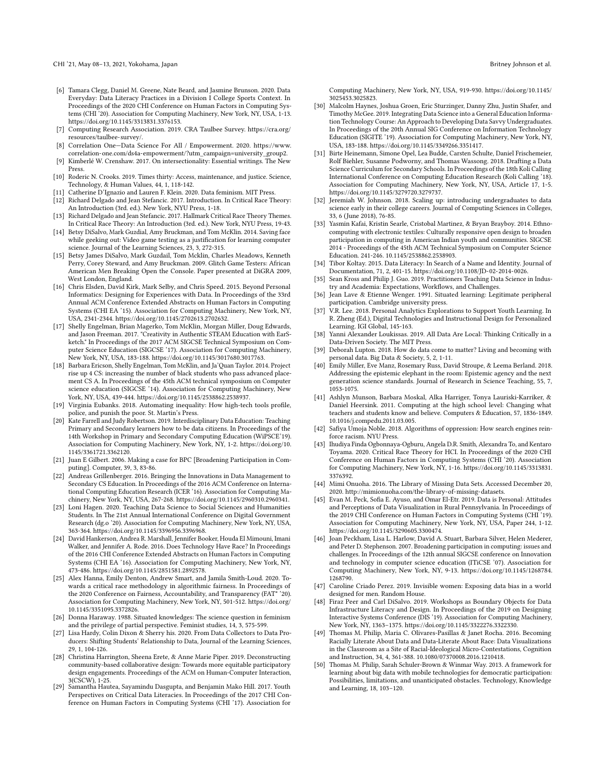- <span id="page-13-16"></span>[6] Tamara Clegg, Daniel M. Greene, Nate Beard, and Jasmine Brunson. 2020. Data Everyday: Data Literacy Practices in a Division I College Sports Context. In Proceedings of the 2020 CHI Conference on Human Factors in Computing Systems (CHI '20). Association for Computing Machinery, New York, NY, USA, 1-13. [https://doi.org/10.1145/3313831.3376153.](https://doi.org/10.1145/3313831.3376153)
- <span id="page-13-5"></span>[7] Computing Research Association. 2019. CRA Taulbee Survey. [https://cra.org/](https://cra.org/resources/taulbee-survey/) [resources/taulbee-survey/.](https://cra.org/resources/taulbee-survey/)
- <span id="page-13-11"></span>[8] Correlation One—Data Science For All / Empowerment. 2020. [https://www.](https://www.correlation-one.com/ds4a-empowerment/?utm_campaign=university_group2) [correlation-one.com/ds4a-empowerment/?utm\\_campaign=university\\_group2.](https://www.correlation-one.com/ds4a-empowerment/?utm_campaign=university_group2) [9] Kimberlé W. Crenshaw. 2017. On intersectionality: Essential writings. The New
- <span id="page-13-14"></span>Press. [10] Roderic N. Crooks. 2019. Times thirty: Access, maintenance, and justice. Science,
- Technology, & Human Values, 44, 1, 118-142.
- <span id="page-13-34"></span><span id="page-13-26"></span>[11] Catherine D'Ignazio and Lauren F. Klein. 2020. Data feminism. MIT Press [12] Richard Delgado and Jean Stefancic. 2017. Introduction. In Critical Race Theory: An Introduction (3rd. ed.). New York, NYU Press, 1-18.
- <span id="page-13-35"></span>[13] Richard Delgado and Jean Stefancic. 2017. Hallmark Critical Race Theory Themes. In Critical Race Theory: An Introduction (3rd. ed.). New York, NYU Press, 19-43.
- <span id="page-13-6"></span>[14] Betsy DiSalvo, Mark Guzdial, Amy Bruckman, and Tom McKlin. 2014. Saving face while geeking out: Video game testing as a justifcation for learning computer science. Journal of the Learning Sciences, 23, 3, 272-315.
- <span id="page-13-12"></span>[15] Betsy James DiSalvo, Mark Guzdail, Tom Mcklin, Charles Meadows, Kenneth Perry, Corey Steward, and Amy Bruckman. 2009. Glitch Game Testers: African American Men Breaking Open the Console. Paper presented at DiGRA 2009, West London, England.
- <span id="page-13-37"></span>[16] Chris Elsden, David Kirk, Mark Selby, and Chris Speed. 2015. Beyond Personal Informatics: Designing for Experiences with Data. In Proceedings of the 33rd Annual ACM Conference Extended Abstracts on Human Factors in Computing Systems (CHI EA '15). Association for Computing Machinery, New York, NY, USA, 2341-2344. [https://doi.org/10.1145/2702613.2702632.](https://doi.org/10.1145/2702613.2702632)
- <span id="page-13-9"></span>[17] Shelly Engelman, Brian Magerko, Tom McKlin, Morgan Miller, Doug Edwards, and Jason Freeman. 2017. "Creativity in Authentic STEAM Education with EarSketch." In Proceedings of the 2017 ACM SIGCSE Technical Symposium on Computer Science Education (SIGCSE '17). Association for Computing Machinery, New York, NY, USA, 183-188. [https://doi.org/10.1145/3017680.3017763.](https://doi.org/10.1145/3017680.3017763)
- <span id="page-13-7"></span>[18] Barbara Ericson, Shelly Engelman, Tom McKlin, and Ja'Quan Taylor. 2014. Project rise up 4 CS: increasing the number of black students who pass advanced placement CS A. In Proceedings of the 45th ACM technical symposium on Computer science education (SIGCSE '14). Association for Computing Machinery, New York, NY, USA, 439-444. [https://doi.org/10.1145/2538862.2538937.](https://doi.org/10.1145/2538862.2538937)
- [19] Virginia Eubanks. 2018. Automating inequality: How high-tech tools profle,
- <span id="page-13-17"></span>police, and punish the poor. St. Martin's Press. [20] Kate Farrell and Judy Robertson. 2019. Interdisciplinary Data Education: Teaching Primary and Secondary learners how to be data citizens. In Proceedings of the 14th Workshop in Primary and Secondary Computing Education (WiPSCE'19). Association for Computing Machinery, New York, NY, 1-2. [https://doi.org/10.](https://doi.org/10.1145/3361721.3362120) [1145/3361721.3362120.](https://doi.org/10.1145/3361721.3362120)
- <span id="page-13-3"></span>[21] Juan E Gilbert. 2006. Making a case for BPC [Broadening Participation in Computing]. Computer, 39, 3, 83-86.
- <span id="page-13-18"></span>[22] Andreas Grillenberger. 2016. Bringing the Innovations in Data Management to Secondary CS Education. In Proceedings of the 2016 ACM Conference on International Computing Education Research (ICER '16). Association for Computing Machinery, New York, NY, USA, 267-268. [https://doi.org/10.1145/2960310.2960341.](https://doi.org/10.1145/2960310.2960341)
- <span id="page-13-21"></span>[23] Loni Hagen. 2020. Teaching Data Science to Social Sciences and Humanities Students. In The 21st Annual International Conference on Digital Government Research (dg.o '20). Association for Computing Machinery, New York, NY, USA, 363-364. [https://doi.org/10.1145/3396956.3396968.](https://doi.org/10.1145/3396956.3396968)
- <span id="page-13-0"></span>[24] David Hankerson, Andrea R. Marshall, Jennifer Booker, Houda El Mimouni, Imani Walker, and Jennifer A. Rode. 2016. Does Technology Have Race? In Proceedings of the 2016 CHI Conference Extended Abstracts on Human Factors in Computing Systems (CHI EA '16). Association for Computing Machinery, New York, NY, 473-486. [https://doi.org/10.1145/2851581.2892578.](https://doi.org/10.1145/2851581.2892578)
- <span id="page-13-2"></span>[25] Alex Hanna, Emily Denton, Andrew Smart, and Jamila Smith-Loud. 2020. Towards a critical race methodology in algorithmic fairness. In Proceedings of the 2020 Conference on Fairness, Accountability, and Transparency (FAT\* Association for Computing Machinery, New York, NY, 501-512. [https://doi.org/](https://doi.org/10.1145/3351095.3372826) [10.1145/3351095.3372826.](https://doi.org/10.1145/3351095.3372826)
- <span id="page-13-38"></span>[26] Donna Haraway. 1988. Situated knowledges: The science question in feminism and the privilege of partial perspective. Feminist studies, 14, 3, 575-599.
- <span id="page-13-32"></span>[27] Lisa Hardy, Colin Dixon & Sherry his. 2020. From Data Collectors to Data Producers: Shifting Students' Relationship to Data, Journal of the Learning Sciences, 29, 1, 104-126.
- <span id="page-13-36"></span>[28] Christina Harrington, Sheena Erete, & Anne Marie Piper. 2019. Deconstructing community-based collaborative design: Towards more equitable participatory design engagements. Proceedings of the ACM on Human-Computer Interaction,
- <span id="page-13-30"></span>3(CSCW), 1-25. [29] Samantha Hautea, Sayamindu Dasgupta, and Benjamin Mako Hill. 2017. Youth Perspectives on Critical Data Literacies. In Proceedings of the 2017 CHI Conference on Human Factors in Computing Systems (CHI '17). Association for

Computing Machinery, New York, NY, USA, 919-930. [https://doi.org/10.1145/](https://doi.org/10.1145/3025453.3025823) [3025453.3025823.](https://doi.org/10.1145/3025453.3025823)

- <span id="page-13-22"></span>[30] Malcolm Haynes, Joshua Groen, Eric Sturzinger, Danny Zhu, Justin Shafer, and Timothy McGee. 2019. Integrating Data Science into a General Education Information Technology Course: An Approach to Developing Data Savvy Undergraduates. In Proceedings of the 20th Annual SIG Conference on Information Technology Education (SIGITE '19). Association for Computing Machinery, New York, NY, USA, 183-188. [https://doi.org/10.1145/3349266.3351417.](https://doi.org/10.1145/3349266.3351417)
- <span id="page-13-19"></span>[31] Birte Heinemann, Simone Opel, Lea Budde, Carsten Schulte, Daniel Frischemeier, Rolf Biehler, Susanne Podworny, and Thomas Wassong. 2018. Drafting a Data Science Curriculum for Secondary Schools. In Proceedings of the 18th Koli Calling International Conference on Computing Education Research (Koli Calling '18). Association for Computing Machinery, New York, NY, USA, Article 17, 1-5. [https://doi.org/10.1145/3279720.3279737.](https://doi.org/10.1145/3279720.3279737)
- <span id="page-13-23"></span>[32] Jeremiah W. Johnson. 2018. Scaling up: introducing undergraduates to data science early in their college careers. Journal of Computing Sciences in Colleges, 33, 6 (June 2018), 76-85.
- <span id="page-13-10"></span>[33] Yasmin Kafai, Kristin Searle, Cristobal Martinez, & Bryan Brayboy. 2014. Ethnocomputing with electronic textiles: Culturally responsive open design to broaden participation in computing in American Indian youth and communities. SIGCSE 2014 - Proceedings of the 45th ACM Technical Symposium on Computer Science Education. 241-246. 10.1145/2538862.2538903.
- <span id="page-13-15"></span>[34] Tibor Koltay. 2015. Data Literacy: In Search of a Name and Identity. Journal of Documentation, 71, 2, 401-15. [https://doi.org/10.1108/JD-02-2014-0026.](https://doi.org/10.1108/JD-02-2014-0026)
- <span id="page-13-20"></span>[35] Sean Kross and Philip J. Guo. 2019. Practitioners Teaching Data Science in Industry and Academia: Expectations, Workfows, and Challenges. [36] Jean Lave & Etienne Wenger. 1991. Situated learning: Legitimate peripheral
- <span id="page-13-13"></span>participation. Cambridge university press.
- <span id="page-13-31"></span>V.R. Lee. 2018. Personal Analytics Explorations to Support Youth Learning. In R. Zheng (Ed.), Digital Technologies and Instructional Design for Personalized Learning. IGI Global, 145-163.
- <span id="page-13-25"></span>[38] Yanni Alexander Loukissas. 2019. All Data Are Local: Thinking Critically in a Data-Driven Society. The MIT Press.
- <span id="page-13-40"></span>[39] Deborah Lupton. 2018. How do data come to matter? Living and becoming with personal data. Big Data & Society, 5, 2, 1-11.
- <span id="page-13-33"></span>[40] Emily Miller, Eve Manz, Rosemary Russ, David Stroupe, & Leema Berland. 2018. Addressing the epistemic elephant in the room: Epistemic agency and the next generation science standards. Journal of Research in Science Teaching, 55, 7, 1053-1075.
- <span id="page-13-8"></span>[41] Ashlyn Munson, Barbara Moskal, Alka Harriger, Tonya Lauriski-Karriker, & Daniel Heersink. 2011. Computing at the high school level: Changing what teachers and students know and believe. Computers & Education, 57, 1836-1849. 10.1016/j.compedu.2011.03.005.
- <span id="page-13-28"></span>[42] Safya Umoja Noble. 2018. Algorithms of oppression: How search engines reinforce racism. NYU Press.
- <span id="page-13-1"></span>[43] Ihudiya Finda Ogbonnaya-Ogburu, Angela D.R. Smith, Alexandra To, and Kentaro Toyama. 2020. Critical Race Theory for HCI. In Proceedings of the 2020 CHI Conference on Human Factors in Computing Systems (CHI '20). Association for Computing Machinery, New York, NY, 1-16. [https://doi.org/10.1145/3313831.](https://doi.org/10.1145/3313831.3376392) [3376392.](https://doi.org/10.1145/3313831.3376392)
- <span id="page-13-29"></span>[44] Mimi Onuoha. 2016. The Library of Missing Data Sets. Accessed December 20, 2020. [http://mimionuoha.com/the-library-of-missing-datasets.](http://mimionuoha.com/the-library-of-missing-datasets)
- [45] Evan M. Peck, Sofa E. Ayuso, and Omar El-Etr. 2019. Data is Personal: Attitudes and Perceptions of Data Visualization in Rural Pennsylvania. In Proceedings of the 2019 CHI Conference on Human Factors in Computing Systems (CHI '19). Association for Computing Machinery, New York, NY, USA, Paper 244, 1-12. [https://doi.org/10.1145/3290605.3300474.](https://doi.org/10.1145/3290605.3300474)
- <span id="page-13-4"></span>[46] Joan Peckham, Lisa L. Harlow, David A. Stuart, Barbara Silver, Helen Mederer, and Peter D. Stephenson. 2007. Broadening participation in computing: issues and challenges. In Proceedings of the 12th annual SIGCSE conference on Innovation and technology in computer science education (ITiCSE '07). Association for Computing Machinery, New York, NY, 9-13. [https://doi.org/10.1145/1268784.](https://doi.org/10.1145/1268784.1268790) [1268790.](https://doi.org/10.1145/1268784.1268790)
- <span id="page-13-27"></span>[47] Caroline Criado Perez. 2019. Invisible women: Exposing data bias in a world designed for men. Random House.
- <span id="page-13-24"></span>[48] Firaz Peer and Carl DiSalvo. 2019. Workshops as Boundary Objects for Data Infrastructure Literacy and Design. In Proceedings of the 2019 on Designing Interactive Systems Conference (DIS '19). Association for Computing Machinery, New York, NY, 1363–1375. [https://doi.org/10.1145/3322276.3322330.](https://doi.org/10.1145/3322276.3322330)
- [49] Thomas M. Philip, Maria C. Olivares-Pasillas & Janet Rocha. 2016. Becoming Racially Literate About Data and Data-Literate About Race: Data Visualizations in the Classroom as a Site of Racial-Ideological Micro-Contestations, Cognition and Instruction, 34, 4, 361-388. 10.1080/07370008.2016.1210418.
- <span id="page-13-39"></span>[50] Thomas M. Philip, Sarah Schuler-Brown & Winmar Way. 2013. A framework for learning about big data with mobile technologies for democratic participation: Possibilities, limitations, and unanticipated obstacles. Technology, Knowledge and Learning, 18, 103–120.